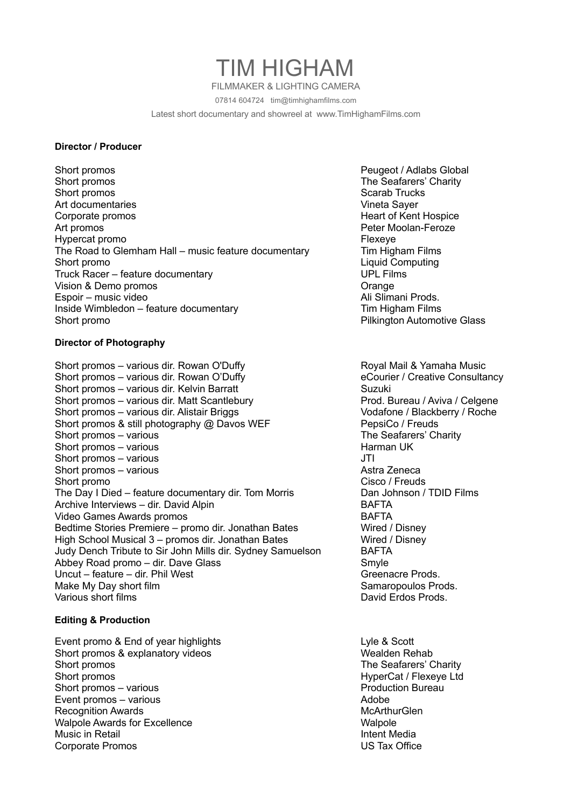# TIM HIGHAM

FILMMAKER & LIGHTING CAMERA

07814 604724 tim@timhighamfilms.com

Latest short documentary and showreel at www.TimHighamFilms.com

#### **Director / Producer**

Short promos **Peugeot / Adlabs Global** Short promos The Seafarers' Charity Short promos Scarab Trucks Short promos Scarab Trucks Scarab Trucks Scarab Trucks Scarab Trucks Scarab Trucks Art documentaries **Vineta Sayer** Corporate promos<br>
Art promos<br>
Art promos<br>
Art promos Hypercat promo Flexeye The Road to Glemham Hall – music feature documentary Tim Higham Films Short promo Liquid Computing Truck Racer – feature documentary UPL Films Vision & Demo promos **Orange Community** Vision & Orange Espoir – music video Ali Slimani Prods. Inside Wimbledon – feature documentary Tim Higham Films Short promo Pilkington Automotive Glass

### **Director of Photography**

Short promos – various dir. Rowan O'Duffy **Royal Mail & Yamaha Music** Royal Mail & Yamaha Music Short promos - various dir. Rowan O'Duffy entitled and the Courier / Creative Consultancy Short promos – various dir. Kelvin Barratt Short Duzuki Short promos – various dir. Matt Scantlebury **Prod. Bureau / Aviva / Celgene** Short promos – various dir. Alistair Briggs Voltair Muslim Vodafone / Blackberry / Roche Short promos & still photography @ Davos WEF PepsiCo / Freuds Short promos – various The Seafarers' Charity Short promos – various entrantitude of the state of the Harman UK Short promos – various JTI Short promos – various Astra Zeneca Astra Zeneca Short promo Cisco / Freuds The Day I Died – feature documentary dir. Tom Morris Dan Johnson / TDID Films Archive Interviews – dir. David Alpin BAFTA Video Games Awards promos and the state of the BAFTA Bedtime Stories Premiere – promo dir. Jonathan Bates Wired / Disney High School Musical 3 – promos dir. Jonathan Bates Wired / Disney Judy Dench Tribute to Sir John Mills dir. Sydney Samuelson BAFTA Abbey Road promo – dir. Dave Glass Smyle Smyle Uncut – feature – dir. Phil West Greenacre Prods. Make My Day short film Samaropoulos Prods. Various short films **David Erdos Prods.** David Erdos Prods.

#### **Editing & Production**

Event promo & End of year highlights Lyle & Scott Lyle & Scott Short promos & explanatory videos Wealden Rehab Short promos The Seafarers' Charity Short promos **Short promos HyperCat / Flexeye Ltd** Short promos – various Production Bureau Charles And Production Bureau Production Bureau Event promos – various Adobe Recognition Awards **McArthurGlen** Walpole Awards for Excellence<br>
Music in Retail<br>
Music in Retail Music in Retail Corporate Promos US Tax Office

Peter Moolan-Feroze